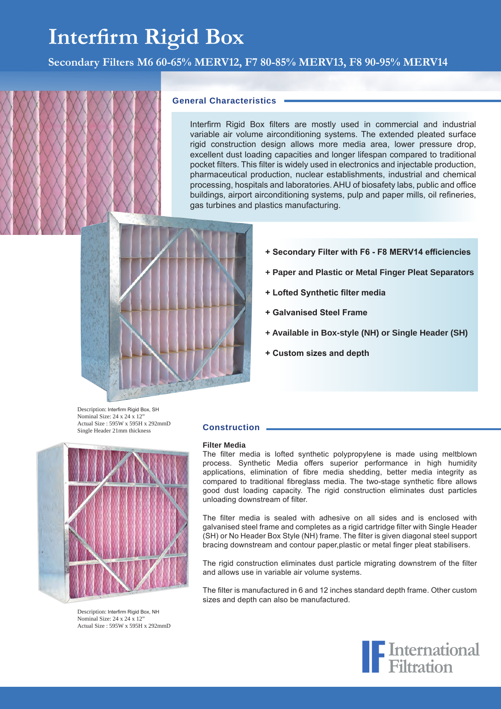# **Interfirm Rigid Box**

**Secondary Filters M6 60-65% MERV12, F7 80-85% MERV13, F8 90-95% MERV14**

#### **General Characteristics**

Interfirm Rigid Box filters are mostly used in commercial and industrial variable air volume airconditioning systems. The extended pleated surface rigid construction design allows more media area, lower pressure drop, excellent dust loading capacities and longer lifespan compared to traditional pocket filters. This filter is widely used in electronics and injectable production, pharmaceutical production, nuclear establishments, industrial and chemical processing, hospitals and laboratories. AHU of biosafety labs, public and office buildings, airport airconditioning systems, pulp and paper mills, oil refineries, gas turbines and plastics manufacturing.

- 
- **+ Secondary Filter with F6 F8 MERV14 efficiencies**
- **+ Paper and Plastic or Metal Finger Pleat Separators**
- **+ Lofted Synthetic filter media**
- **+ Galvanised Steel Frame**
- **+ Available in Box-style (NH) or Single Header (SH)**
- **+ Custom sizes and depth**

Description: Interfirm Rigid Box, SH Nominal Size: 24 x 24 x 12' Actual Size : 595W x 595H x 292mmD Single Header 21mm thickness



Description: Interfirm Rigid Box, NH Nominal Size: 24 x 24 x 12" Actual Size : 595W x 595H x 292mmD

#### **Construction**

#### **Filter Media**

The filter media is lofted synthetic polypropylene is made using meltblown process. Synthetic Media offers superior performance in high humidity applications, elimination of fibre media shedding, better media integrity as compared to traditional fibreglass media. The two-stage synthetic fibre allows good dust loading capacity. The rigid construction eliminates dust particles unloading downstream of filter.

The filter media is sealed with adhesive on all sides and is enclosed with galvanised steel frame and completes as a rigid cartridge filter with Single Header (SH) or No Header Box Style (NH) frame. The filter is given diagonal steel support bracing downstream and contour paper,plastic or metal finger pleat stabilisers.

The rigid construction eliminates dust particle migrating downstrem of the filter and allows use in variable air volume systems.

The filter is manufactured in 6 and 12 inches standard depth frame. Other custom sizes and depth can also be manufactured.